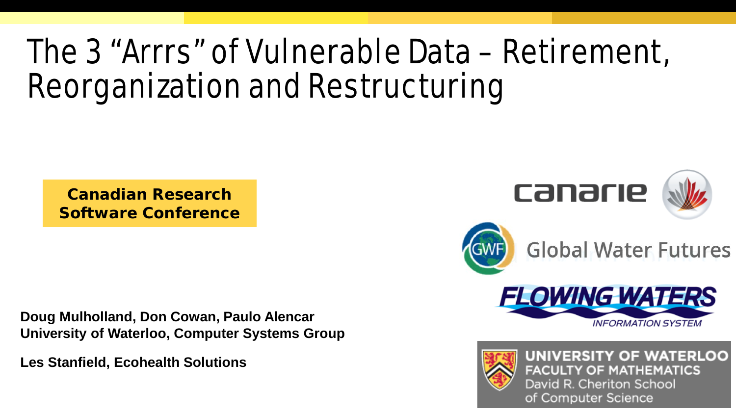# The 3 "Arrrs" of Vulnerable Data – Retirement, Reorganization and Restructuring

**Canadian Research Software Conference**

**Doug Mulholland, Don Cowan, Paulo Alencar University of Waterloo, Computer Systems Group**

**Les Stanfield, Ecohealth Solutions**





**FACULTY OF MATHEMATICS** David R. Cheriton School of Computer Science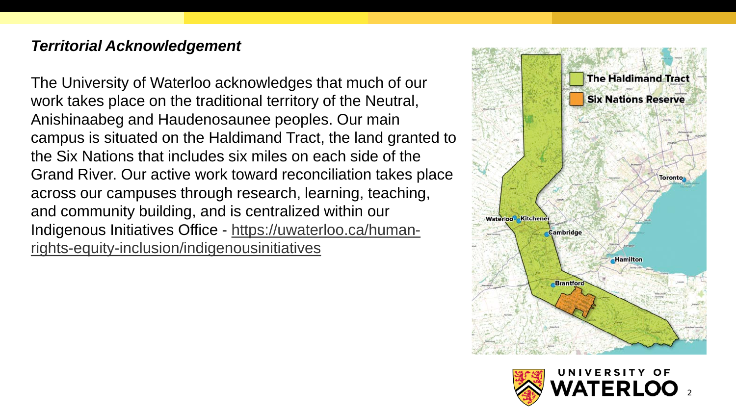#### *Territorial Acknowledgement*

The University of Waterloo acknowledges that much of our work takes place on the traditional territory of the Neutral, Anishinaabeg and Haudenosaunee peoples. Our main campus is situated on the Haldimand Tract, the land granted to the Six Nations that includes six miles on each side of the Grand River. Our active work toward reconciliation takes place across our campuses through research, learning, teaching, and community building, and is centralized within our Indigenous Initiatives Office - [https://uwaterloo.ca/human](https://uwaterloo.ca/human-rights-equity-inclusion/indigenousinitiatives)[rights-equity-inclusion/indigenousinitiatives](https://uwaterloo.ca/human-rights-equity-inclusion/indigenousinitiatives)



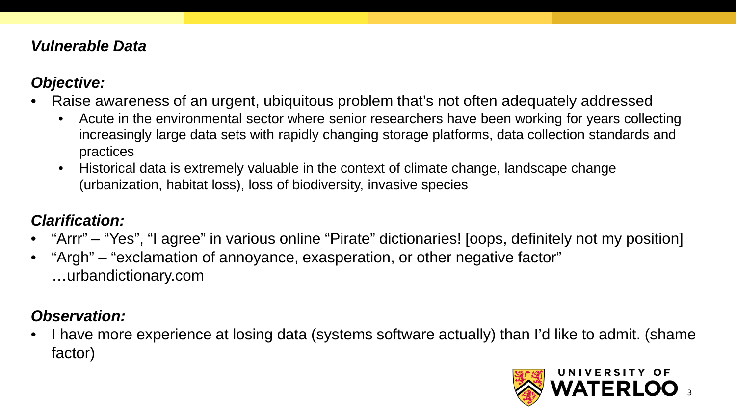#### *Vulnerable Data*

## *Objective:*

- Raise awareness of an urgent, ubiquitous problem that's not often adequately addressed
	- Acute in the environmental sector where senior researchers have been working for years collecting increasingly large data sets with rapidly changing storage platforms, data collection standards and practices
	- Historical data is extremely valuable in the context of climate change, landscape change (urbanization, habitat loss), loss of biodiversity, invasive species

## *Clarification:*

- "Arrr" "Yes", "I agree" in various online "Pirate" dictionaries! [oops, definitely not my position]
- "Argh" "exclamation of annoyance, exasperation, or other negative factor" …urbandictionary.com

## *Observation:*

• I have more experience at losing data (systems software actually) than I'd like to admit. (shame factor)

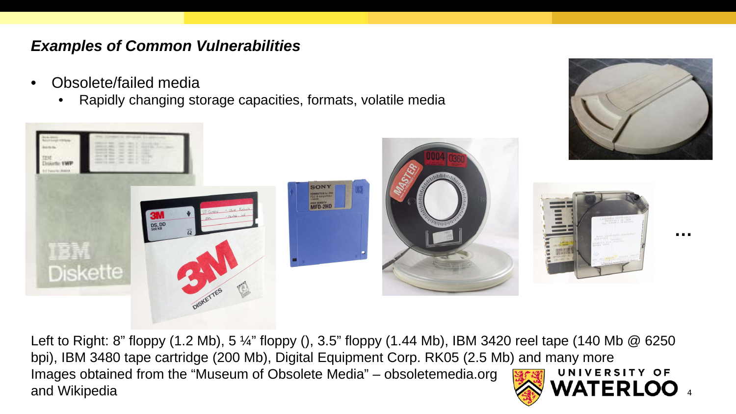#### *Examples of Common Vulnerabilities*

- Obsolete/failed media
	- Rapidly changing storage capacities, formats, volatile media



Left to Right: 8" floppy (1.2 Mb), 5 ¼" floppy (), 3.5" floppy (1.44 Mb), IBM 3420 reel tape (140 Mb @ 6250 bpi), IBM 3480 tape cartridge (200 Mb), Digital Equipment Corp. RK05 (2.5 Mb) and many more Images obtained from the "Museum of Obsolete Media" – obsoletemedia.org UNIVERSITY OF and Wikipedia

4

**…**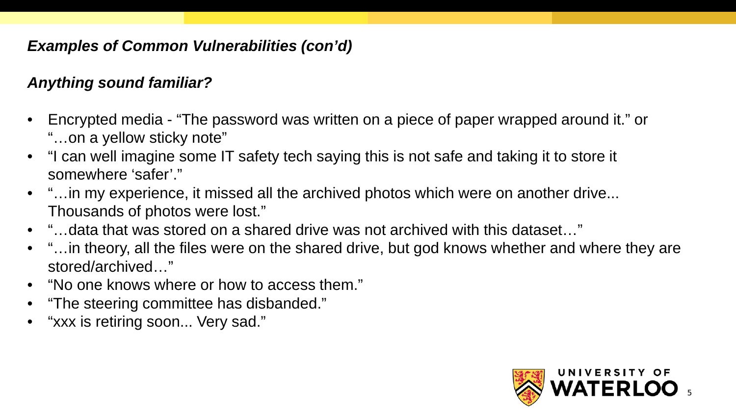## *Examples of Common Vulnerabilities (con'd)*

## *Anything sound familiar?*

- Encrypted media "The password was written on a piece of paper wrapped around it." or "…on a yellow sticky note"
- "I can well imagine some IT safety tech saying this is not safe and taking it to store it somewhere 'safer'."
- "... in my experience, it missed all the archived photos which were on another drive... Thousands of photos were lost."
- "…data that was stored on a shared drive was not archived with this dataset…"
- "…in theory, all the files were on the shared drive, but god knows whether and where they are stored/archived…"
- "No one knows where or how to access them."
- "The steering committee has disbanded."
- "xxx is retiring soon... Very sad."

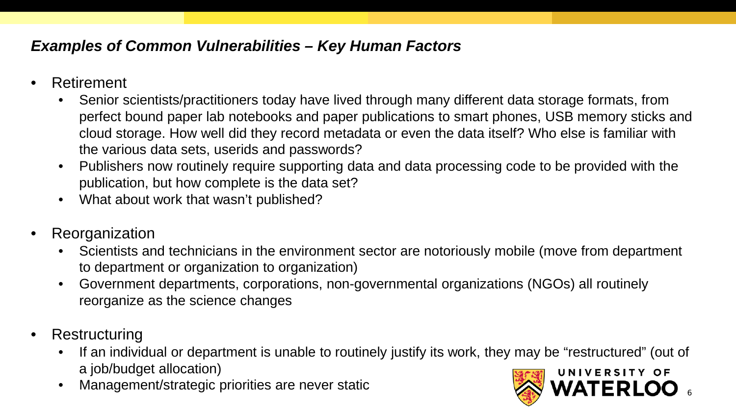## *Examples of Common Vulnerabilities – Key Human Factors*

- Retirement
	- Senior scientists/practitioners today have lived through many different data storage formats, from perfect bound paper lab notebooks and paper publications to smart phones, USB memory sticks and cloud storage. How well did they record metadata or even the data itself? Who else is familiar with the various data sets, userids and passwords?
	- Publishers now routinely require supporting data and data processing code to be provided with the publication, but how complete is the data set?
	- What about work that wasn't published?
- **Reorganization** 
	- Scientists and technicians in the environment sector are notoriously mobile (move from department to department or organization to organization)
	- Government departments, corporations, non-governmental organizations (NGOs) all routinely reorganize as the science changes
- Restructuring
	- If an individual or department is unable to routinely justify its work, they may be "restructured" (out of a job/budget allocation) UNIVERSITY OF
	- Management/strategic priorities are never static

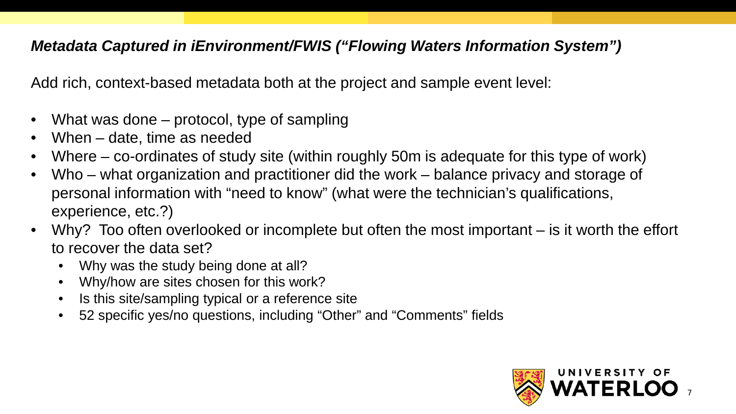#### *Metadata Captured in iEnvironment/FWIS ("Flowing Waters Information System")*

Add rich, context-based metadata both at the project and sample event level:

- What was done protocol, type of sampling
- When date, time as needed
- Where co-ordinates of study site (within roughly 50m is adequate for this type of work)
- Who what organization and practitioner did the work balance privacy and storage of personal information with "need to know" (what were the technician's qualifications, experience, etc.?)
- Why? Too often overlooked or incomplete but often the most important is it worth the effort to recover the data set?
	- Why was the study being done at all?
	- Why/how are sites chosen for this work?
	- Is this site/sampling typical or a reference site
	- 52 specific yes/no questions, including "Other" and "Comments" fields

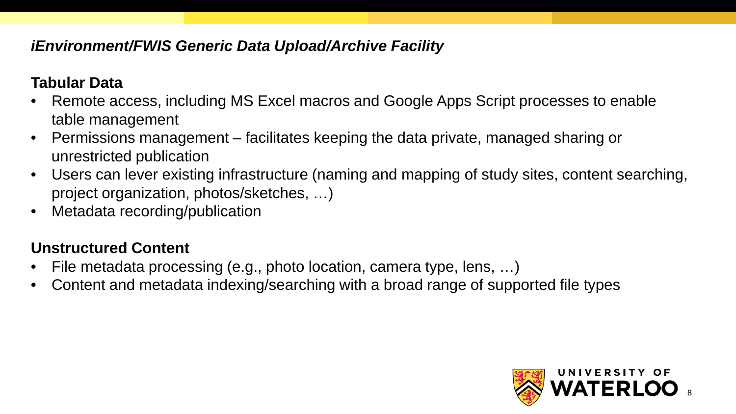## *iEnvironment/FWIS Generic Data Upload/Archive Facility*

#### **Tabular Data**

- Remote access, including MS Excel macros and Google Apps Script processes to enable table management
- Permissions management facilitates keeping the data private, managed sharing or unrestricted publication
- Users can lever existing infrastructure (naming and mapping of study sites, content searching, project organization, photos/sketches, …)
- Metadata recording/publication

## **Unstructured Content**

- File metadata processing (e.g., photo location, camera type, lens, …)
- Content and metadata indexing/searching with a broad range of supported file types

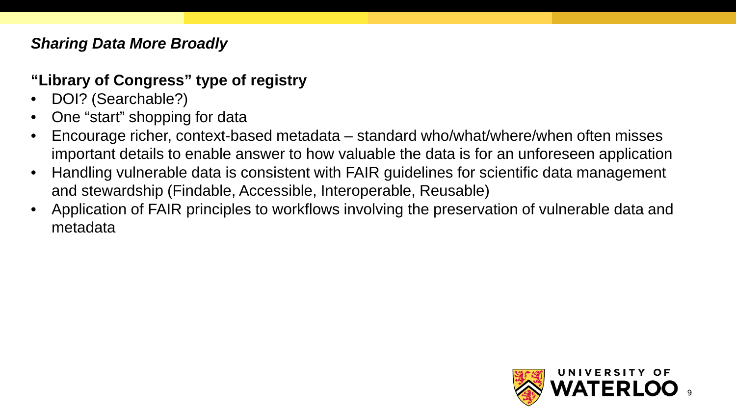## *Sharing Data More Broadly*

## **"Library of Congress" type of registry**

- DOI? (Searchable?)
- One "start" shopping for data
- Encourage richer, context-based metadata standard who/what/where/when often misses important details to enable answer to how valuable the data is for an unforeseen application
- Handling vulnerable data is consistent with FAIR guidelines for scientific data management and stewardship (Findable, Accessible, Interoperable, Reusable)
- Application of FAIR principles to workflows involving the preservation of vulnerable data and metadata

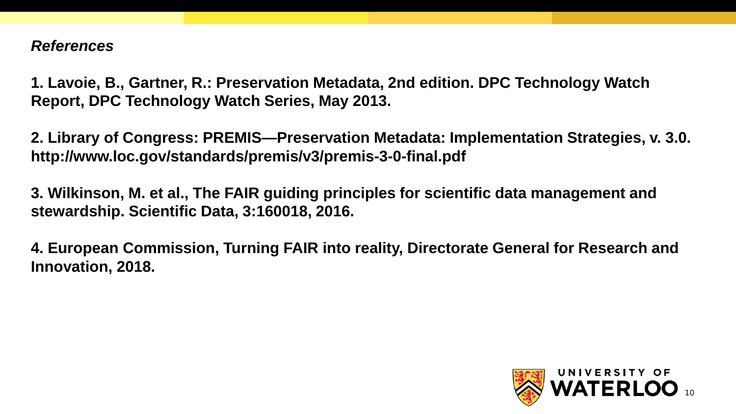#### *References*

**1. Lavoie, B., Gartner, R.: Preservation Metadata, 2nd edition. DPC Technology Watch Report, DPC Technology Watch Series, May 2013.** 

**2. Library of Congress: PREMIS—Preservation Metadata: Implementation Strategies, v. 3.0. http://www.loc.gov/standards/premis/v3/premis-3-0-final.pdf**

**3. Wilkinson, M. et al., The FAIR guiding principles for scientific data management and stewardship. Scientific Data, 3:160018, 2016.** 

**4. European Commission, Turning FAIR into reality, Directorate General for Research and Innovation, 2018.**